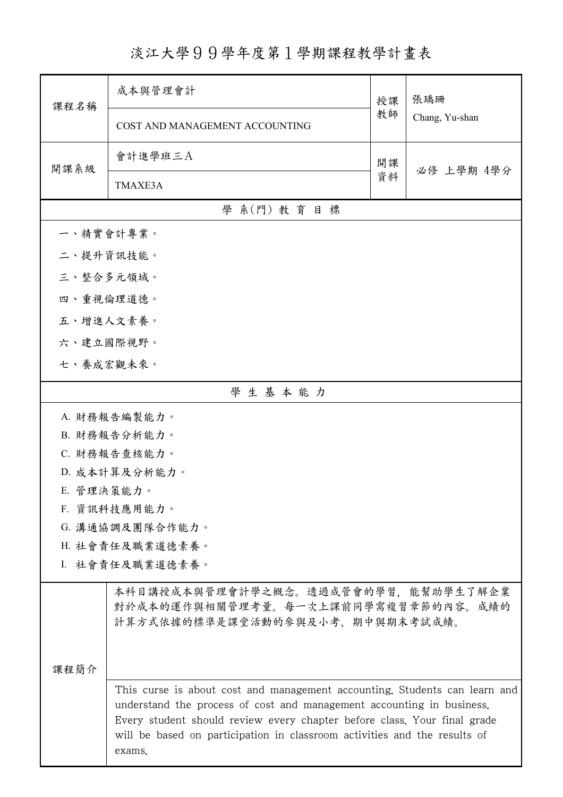## 淡江大學99學年度第1學期課程教學計畫表

| 課程名稱                                                                                                                                                                                                                                                                                                                   | 成本與管理會計                                                                                                       | 授課 | 張瑀珊<br>Chang, Yu-shan |  |
|------------------------------------------------------------------------------------------------------------------------------------------------------------------------------------------------------------------------------------------------------------------------------------------------------------------------|---------------------------------------------------------------------------------------------------------------|----|-----------------------|--|
|                                                                                                                                                                                                                                                                                                                        | COST AND MANAGEMENT ACCOUNTING                                                                                | 教師 |                       |  |
| 開課系級                                                                                                                                                                                                                                                                                                                   | 會計進學班三A                                                                                                       | 開課 | 必修 上學期 4學分            |  |
|                                                                                                                                                                                                                                                                                                                        | TMAXE3A                                                                                                       | 資料 |                       |  |
|                                                                                                                                                                                                                                                                                                                        | 學 系(門) 教育目標                                                                                                   |    |                       |  |
| 一、精實會計專業。                                                                                                                                                                                                                                                                                                              |                                                                                                               |    |                       |  |
| 二、提升資訊技能。                                                                                                                                                                                                                                                                                                              |                                                                                                               |    |                       |  |
| 三、整合多元領域。                                                                                                                                                                                                                                                                                                              |                                                                                                               |    |                       |  |
| 四、重視倫理道德。                                                                                                                                                                                                                                                                                                              |                                                                                                               |    |                       |  |
| 五、增進人文素養。                                                                                                                                                                                                                                                                                                              |                                                                                                               |    |                       |  |
| 六、建立國際視野。                                                                                                                                                                                                                                                                                                              |                                                                                                               |    |                       |  |
| 七、養成宏觀未來。                                                                                                                                                                                                                                                                                                              |                                                                                                               |    |                       |  |
| 學生基本能力                                                                                                                                                                                                                                                                                                                 |                                                                                                               |    |                       |  |
|                                                                                                                                                                                                                                                                                                                        | A. 財務報告編製能力。                                                                                                  |    |                       |  |
|                                                                                                                                                                                                                                                                                                                        | B. 財務報告分析能力。                                                                                                  |    |                       |  |
| C. 財務報告查核能力。                                                                                                                                                                                                                                                                                                           |                                                                                                               |    |                       |  |
|                                                                                                                                                                                                                                                                                                                        | D. 成本計算及分析能力。                                                                                                 |    |                       |  |
| E. 管理決策能力。                                                                                                                                                                                                                                                                                                             |                                                                                                               |    |                       |  |
| F. 資訊科技應用能力。                                                                                                                                                                                                                                                                                                           |                                                                                                               |    |                       |  |
|                                                                                                                                                                                                                                                                                                                        | G. 溝通協調及團隊合作能力。                                                                                               |    |                       |  |
|                                                                                                                                                                                                                                                                                                                        | H. 社會責任及職業道德素養。                                                                                               |    |                       |  |
| I. 社會責任及職業道德素養。                                                                                                                                                                                                                                                                                                        |                                                                                                               |    |                       |  |
|                                                                                                                                                                                                                                                                                                                        | 本科目講授成本與管理會計學之概念。透過成管會的學習,能幫助學生了解企業<br>對於成本的運作與相關管理考量。每一次上課前同學需複習章節的內容。成績的<br>計算方式依據的標準是課堂活動的參與及小考、期中與期末考試成績。 |    |                       |  |
|                                                                                                                                                                                                                                                                                                                        |                                                                                                               |    |                       |  |
| 課程簡介                                                                                                                                                                                                                                                                                                                   |                                                                                                               |    |                       |  |
| This curse is about cost and management accounting. Students can learn and<br>understand the process of cost and management accounting in business.<br>Every student should review every chapter before class. Your final grade<br>will be based on participation in classroom activities and the results of<br>exams. |                                                                                                               |    |                       |  |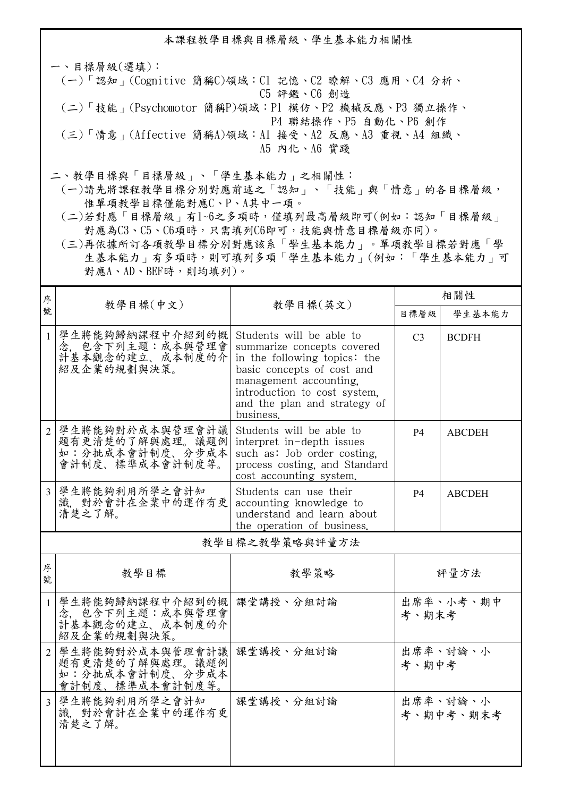本課程教學目標與目標層級、學生基本能力相關性

一、目標層級(選填): (一)「認知」(Cognitive 簡稱C)領域:C1 記憶、C2 瞭解、C3 應用、C4 分析、 C5 評鑑、C6 創造 (二)「技能」(Psychomotor 簡稱P)領域:P1 模仿、P2 機械反應、P3 獨立操作、 P4 聯結操作、P5 自動化、P6 創作 (三)「情意」(Affective 簡稱A)領域:A1 接受、A2 反應、A3 重視、A4 組織、 A5 內化、A6 實踐

二、教學目標與「目標層級」、「學生基本能力」之相關性:

 (一)請先將課程教學目標分別對應前述之「認知」、「技能」與「情意」的各目標層級, 惟單項教學目標僅能對應C、P、A其中一項。

 (二)若對應「目標層級」有1~6之多項時,僅填列最高層級即可(例如:認知「目標層級」 對應為C3、C5、C6項時,只需填列C6即可,技能與情意目標層級亦同)。

 (三)再依據所訂各項教學目標分別對應該系「學生基本能力」。單項教學目標若對應「學 生基本能力」有多項時,則可填列多項「學生基本能力」(例如:「學生基本能力」可 對應A、AD、BEF時,則均填列)。

| 序                       |                                                                          | 教學目標(英文)                                                                                                                                                                                                                    | 相關性            |                       |  |  |  |
|-------------------------|--------------------------------------------------------------------------|-----------------------------------------------------------------------------------------------------------------------------------------------------------------------------------------------------------------------------|----------------|-----------------------|--|--|--|
| 號                       | 教學目標(中文)                                                                 |                                                                                                                                                                                                                             | 目標層級           | 學生基本能力                |  |  |  |
| $\mathbf{1}$            | 學生將能夠歸納課程中介紹到的概<br>念, 包含下列主題:成本與管理會<br>計基本觀念的建立、成本制度的介<br>紹及企業的規劃與決策。    | Students will be able to<br>summarize concepts covered<br>in the following topics: the<br>basic concepts of cost and<br>management accounting.<br>introduction to cost system.<br>and the plan and strategy of<br>business. | C <sub>3</sub> | <b>BCDFH</b>          |  |  |  |
| $\overline{2}$          | 學生將能夠對於成本與管理會計議<br>題有更清楚的了解與處理。議題例<br>如:分批成本會計制度、分步成本<br>會計制度、標準成本會計制度等。 | Students will be able to<br>interpret in-depth issues<br>such as: Job order costing.<br>process costing, and Standard<br>cost accounting system.                                                                            | <b>P4</b>      | <b>ABCDEH</b>         |  |  |  |
| $\overline{\mathbf{3}}$ | 學生將能夠利用所學之會計知<br>識,對於會計在企業中的運作有更<br>清楚之了解。                               | Students can use their<br>accounting knowledge to<br>understand and learn about<br>the operation of business.                                                                                                               | <b>P4</b>      | <b>ABCDEH</b>         |  |  |  |
|                         | 教學目標之教學策略與評量方法                                                           |                                                                                                                                                                                                                             |                |                       |  |  |  |
| 序<br>號                  | 教學目標                                                                     | 教學策略                                                                                                                                                                                                                        |                | 評量方法                  |  |  |  |
| $\mathbf{1}$            | 學生將能夠歸納課程中介紹到的概 <br>念, 包含下列主题:成本與管理會<br>計基本觀念的建立、成本制度的介<br>紹及企業的規劃與決策。   | 課堂講授、分組討論                                                                                                                                                                                                                   | 考、期末考          | 出席率、小考、期中             |  |  |  |
| $\overline{2}$          | 學生將能夠對於成本與管理會計議<br>題有更清楚的了解與處理。議題例<br>如:分批成本會計制度、分步成本<br>會計制度、標準成本會計制度等。 | 課堂講授、分組討論                                                                                                                                                                                                                   | 考、期中考          | 出席率、討論、小              |  |  |  |
| $\overline{3}$          | 學生將能夠利用所學之會計知<br>識, 對於會計在企業中的運作有更<br>清楚之了解。                              | 課堂講授、分組討論                                                                                                                                                                                                                   |                | 出席率、討論、小<br>考、期中考、期末考 |  |  |  |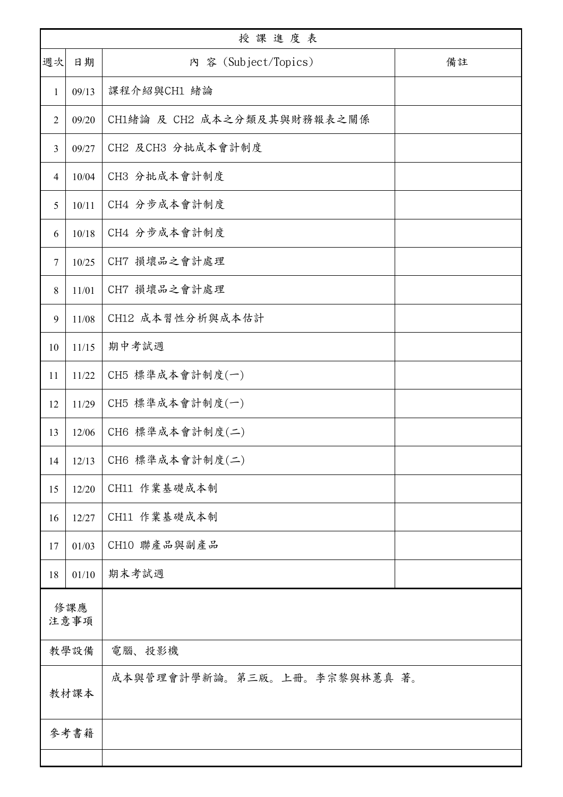| 授課進度表       |       |                              |    |  |
|-------------|-------|------------------------------|----|--|
| 週次          | 日期    | 内 容 (Subject/Topics)         | 備註 |  |
| 1           | 09/13 | 課程介紹與CH1 緒論                  |    |  |
| 2           | 09/20 | CH1緒論 及 CH2 成本之分類及其與財務報表之關係  |    |  |
| 3           | 09/27 | CH2 及CH3 分批成本會計制度            |    |  |
| 4           | 10/04 | CH3 分批成本會計制度                 |    |  |
| 5           | 10/11 | CH4 分步成本會計制度                 |    |  |
| 6           | 10/18 | CH4 分步成本會計制度                 |    |  |
| 7           | 10/25 | CH7 損壞品之會計處理                 |    |  |
| 8           | 11/01 | CH7 損壞品之會計處理                 |    |  |
| 9           | 11/08 | CH12 成本習性分析與成本估計             |    |  |
| 10          | 11/15 | 期中考試週                        |    |  |
| 11          | 11/22 | CH5 標準成本會計制度(一)              |    |  |
| 12          | 11/29 | CH5 標準成本會計制度(一)              |    |  |
| 13          | 12/06 | CH6 標準成本會計制度(二)              |    |  |
| 14          | 12/13 | CH6 標準成本會計制度(二)              |    |  |
| 15          | 12/20 | CH11 作業基礎成本制                 |    |  |
| 16          | 12/27 | CH11 作業基礎成本制                 |    |  |
| 17          | 01/03 | CH10 聯產品與副產品                 |    |  |
| 18          | 01/10 | 期末考試週                        |    |  |
| 修課應<br>注意事項 |       |                              |    |  |
| 教學設備        |       | 電腦、投影機                       |    |  |
| 教材課本        |       | 成本與管理會計學新論。第三版。上冊。李宗黎與林蕙真 著。 |    |  |
| 參考書籍        |       |                              |    |  |